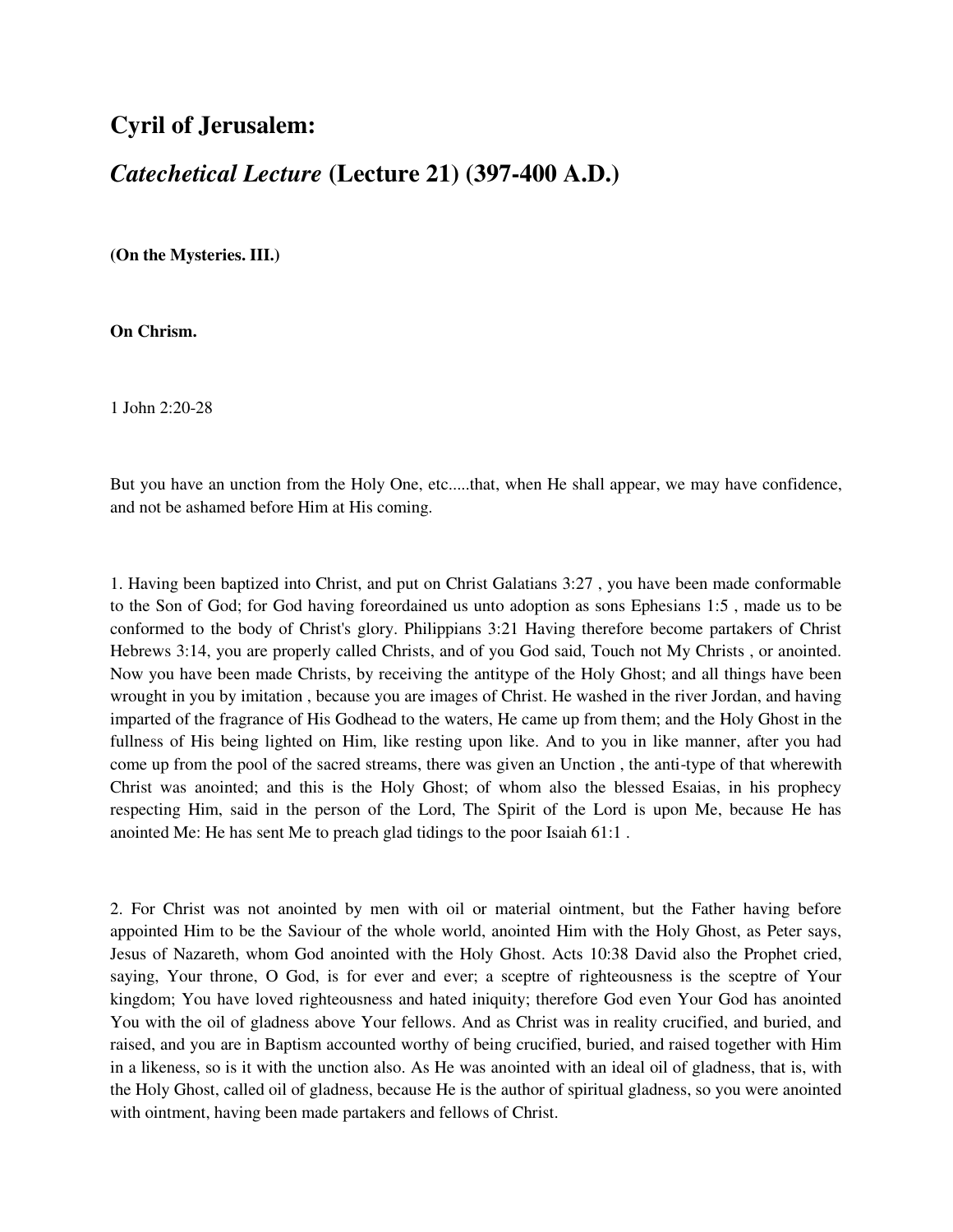## **Cyril of Jerusalem:**

## *Catechetical Lecture* **(Lecture 21) (397-400 A.D.)**

**(On the Mysteries. III.)** 

**On Chrism.** 

1 John 2:20-28

But you have an unction from the Holy One, etc.....that, when He shall appear, we may have confidence, and not be ashamed before Him at His coming.

1. Having been baptized into Christ, and put on Christ Galatians 3:27 , you have been made conformable to the Son of God; for God having foreordained us unto adoption as sons Ephesians 1:5 , made us to be conformed to the body of Christ's glory. Philippians 3:21 Having therefore become partakers of Christ Hebrews 3:14, you are properly called Christs, and of you God said, Touch not My Christs , or anointed. Now you have been made Christs, by receiving the antitype of the Holy Ghost; and all things have been wrought in you by imitation , because you are images of Christ. He washed in the river Jordan, and having imparted of the fragrance of His Godhead to the waters, He came up from them; and the Holy Ghost in the fullness of His being lighted on Him, like resting upon like. And to you in like manner, after you had come up from the pool of the sacred streams, there was given an Unction , the anti-type of that wherewith Christ was anointed; and this is the Holy Ghost; of whom also the blessed Esaias, in his prophecy respecting Him, said in the person of the Lord, The Spirit of the Lord is upon Me, because He has anointed Me: He has sent Me to preach glad tidings to the poor Isaiah 61:1 .

2. For Christ was not anointed by men with oil or material ointment, but the Father having before appointed Him to be the Saviour of the whole world, anointed Him with the Holy Ghost, as Peter says, Jesus of Nazareth, whom God anointed with the Holy Ghost. Acts 10:38 David also the Prophet cried, saying, Your throne, O God, is for ever and ever; a sceptre of righteousness is the sceptre of Your kingdom; You have loved righteousness and hated iniquity; therefore God even Your God has anointed You with the oil of gladness above Your fellows. And as Christ was in reality crucified, and buried, and raised, and you are in Baptism accounted worthy of being crucified, buried, and raised together with Him in a likeness, so is it with the unction also. As He was anointed with an ideal oil of gladness, that is, with the Holy Ghost, called oil of gladness, because He is the author of spiritual gladness, so you were anointed with ointment, having been made partakers and fellows of Christ.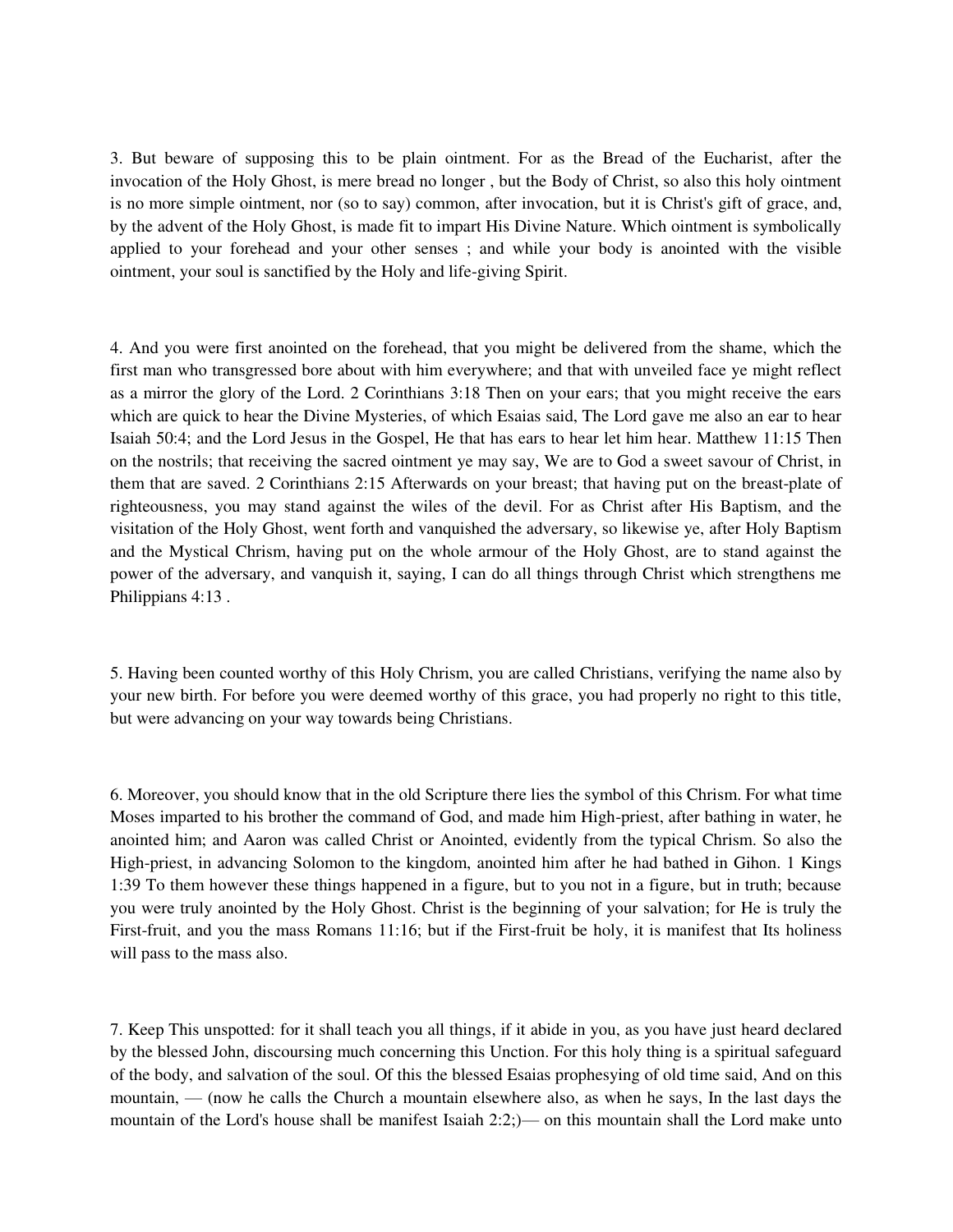3. But beware of supposing this to be plain ointment. For as the Bread of the Eucharist, after the invocation of the Holy Ghost, is mere bread no longer , but the Body of Christ, so also this holy ointment is no more simple ointment, nor (so to say) common, after invocation, but it is Christ's gift of grace, and, by the advent of the Holy Ghost, is made fit to impart His Divine Nature. Which ointment is symbolically applied to your forehead and your other senses ; and while your body is anointed with the visible ointment, your soul is sanctified by the Holy and life-giving Spirit.

4. And you were first anointed on the forehead, that you might be delivered from the shame, which the first man who transgressed bore about with him everywhere; and that with unveiled face ye might reflect as a mirror the glory of the Lord. 2 Corinthians 3:18 Then on your ears; that you might receive the ears which are quick to hear the Divine Mysteries, of which Esaias said, The Lord gave me also an ear to hear Isaiah 50:4; and the Lord Jesus in the Gospel, He that has ears to hear let him hear. Matthew 11:15 Then on the nostrils; that receiving the sacred ointment ye may say, We are to God a sweet savour of Christ, in them that are saved. 2 Corinthians 2:15 Afterwards on your breast; that having put on the breast-plate of righteousness, you may stand against the wiles of the devil. For as Christ after His Baptism, and the visitation of the Holy Ghost, went forth and vanquished the adversary, so likewise ye, after Holy Baptism and the Mystical Chrism, having put on the whole armour of the Holy Ghost, are to stand against the power of the adversary, and vanquish it, saying, I can do all things through Christ which strengthens me Philippians 4:13 .

5. Having been counted worthy of this Holy Chrism, you are called Christians, verifying the name also by your new birth. For before you were deemed worthy of this grace, you had properly no right to this title, but were advancing on your way towards being Christians.

6. Moreover, you should know that in the old Scripture there lies the symbol of this Chrism. For what time Moses imparted to his brother the command of God, and made him High-priest, after bathing in water, he anointed him; and Aaron was called Christ or Anointed, evidently from the typical Chrism. So also the High-priest, in advancing Solomon to the kingdom, anointed him after he had bathed in Gihon. 1 Kings 1:39 To them however these things happened in a figure, but to you not in a figure, but in truth; because you were truly anointed by the Holy Ghost. Christ is the beginning of your salvation; for He is truly the First-fruit, and you the mass Romans 11:16; but if the First-fruit be holy, it is manifest that Its holiness will pass to the mass also.

7. Keep This unspotted: for it shall teach you all things, if it abide in you, as you have just heard declared by the blessed John, discoursing much concerning this Unction. For this holy thing is a spiritual safeguard of the body, and salvation of the soul. Of this the blessed Esaias prophesying of old time said, And on this mountain, — (now he calls the Church a mountain elsewhere also, as when he says, In the last days the mountain of the Lord's house shall be manifest Isaiah 2:2;)— on this mountain shall the Lord make unto